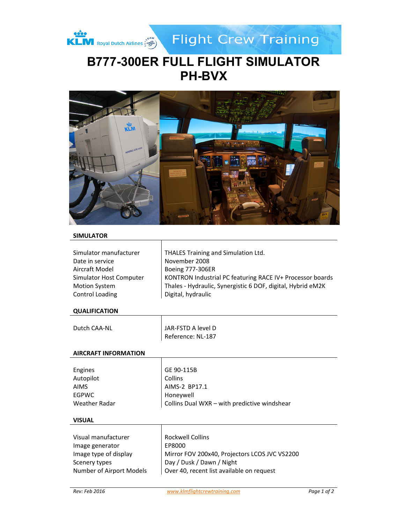

**Flight Crew Training** 

# **B777-300ER FULL FLIGHT SIMULATOR PH-BVX**



## **SIMULATOR**

| Simulator manufacturer  | THALES Training and Simulation Ltd.                         |
|-------------------------|-------------------------------------------------------------|
| Date in service         | November 2008                                               |
| Aircraft Model          | Boeing 777-306ER                                            |
| Simulator Host Computer | KONTRON Industrial PC featuring RACE IV+ Processor boards   |
| <b>Motion System</b>    | Thales - Hydraulic, Synergistic 6 DOF, digital, Hybrid eM2K |
| Control Loading         | Digital, hydraulic                                          |

#### **QUALIFICATION**

| Dutch CAA-NL | JAR-FSTD A level D |
|--------------|--------------------|
|              | Reference: NL-187  |

 $\top$ 

 $\overline{\phantom{a}}$ 

# **AIRCRAFT INFORMATION**

| <b>Engines</b> | GE 90-115B                                   |
|----------------|----------------------------------------------|
| Autopilot      | Collins                                      |
| AIMS           | AIMS-2 BP17.1                                |
| <b>EGPWC</b>   | Honeywell                                    |
| Weather Radar  | Collins Dual WXR - with predictive windshear |
|                |                                              |

## **VISUAL**

| Visual manufacturer      | <b>Rockwell Collins</b>                       |
|--------------------------|-----------------------------------------------|
| Image generator          | EP8000                                        |
| Image type of display    | Mirror FOV 200x40, Projectors LCOS JVC VS2200 |
| Scenery types            | Day / Dusk / Dawn / Night                     |
| Number of Airport Models | Over 40, recent list available on request     |